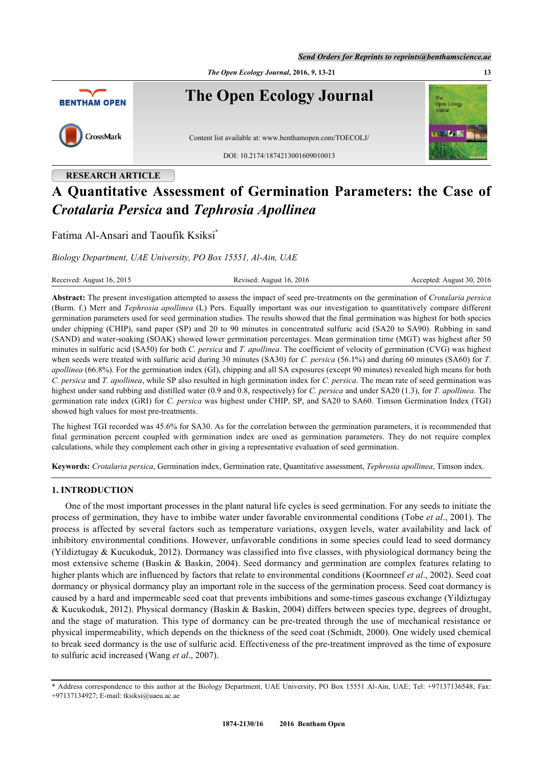*Send Orders for Reprints to reprints@benthamscience.ae*

*The Open Ecology Journal***, 2016,** *9***, 13-21 13**



## **RESEARCH ARTICLE**

# **A Quantitative Assessment of Germination Parameters: the Case of** *Crotalaria Persica* **and** *Tephrosia Apollinea*

Fatima Al-Ansari and Taoufik Ksiksi[\\*](#page-0-0)

*Biology Department, UAE University, PO Box 15551, Al-Ain, UAE*

| Received: August 16, 2015 | Revised: August 16, 2016 | Accepted: August 30, 2016 |
|---------------------------|--------------------------|---------------------------|
|---------------------------|--------------------------|---------------------------|

**Abstract:** The present investigation attempted to assess the impact of seed pre-treatments on the germination of *Crotalaria persica* (Burm. f.) Merr and *Tephrosia apollinea* (L) Pers. Equally important was our investigation to quantitatively compare different germination parameters used for seed germination studies. The results showed that the final germination was highest for both species under chipping (CHIP), sand paper (SP) and 20 to 90 minutes in concentrated sulfuric acid (SA20 to SA90). Rubbing in sand (SAND) and water-soaking (SOAK) showed lower germination percentages. Mean germination time (MGT) was highest after 50 minutes in sulfuric acid (SA50) for both *C. persica* and *T. apollinea*. The coefficient of velocity of germination (CVG) was highest when seeds were treated with sulfuric acid during 30 minutes (SA30) for *C. persica* (56.1%) and during 60 minutes (SA60) for *T. apollinea* (66.8%). For the germination index (GI), chipping and all SA exposures (except 90 minutes) revealed high means for both *C. persica* and *T. apollinea*, while SP also resulted in high germination index for *C. persica*. The mean rate of seed germination was highest under sand rubbing and distilled water (0.9 and 0.8, respectively) for *C. persica* and under SA20 (1.3), for *T. apollinea*. The germination rate index (GRI) for *C. persica* was highest under CHIP, SP, and SA20 to SA60. Timson Germination Index (TGI) showed high values for most pre-treatments.

The highest TGI recorded was 45.6% for SA30. As for the correlation between the germination parameters, it is recommended that final germination percent coupled with germination index are used as germination parameters. They do not require complex calculations, while they complement each other in giving a representative evaluation of seed germination.

**Keywords:** *Crotalaria persica*, Germination index, Germination rate, Quantitative assessment, *Tephrosia apollinea*, Timson index.

## **1. INTRODUCTION**

One of the most important processes in the plant natural life cycles is seed germination. For any seeds to initiate the process of germination, they have to imbibe water under favorable environmental conditions (Tobe *et al*., 2001). The process is affected by several factors such as temperature variations, oxygen levels, water availability and lack of inhibitory environmental conditions. However, unfavorable conditions in some species could lead to seed dormancy (Yildiztugay & Kucukoduk, 2012). Dormancy was classified into five classes, with physiological dormancy being the most extensive scheme (Baskin & Baskin, 2004). Seed dormancy and germination are complex features relating to higher plants which are influenced by factors that relate to environmental conditions (Koornneef *et al*., 2002). Seed coat dormancy or physical dormancy play an important role in the success of the germination process. Seed coat dormancy is caused by a hard and impermeable seed coat that prevents imbibitions and some-times gaseous exchange (Yildiztugay & Kucukoduk, 2012). Physical dormancy (Baskin & Baskin, 2004) differs between species type, degrees of drought, and the stage of maturation. This type of dormancy can be pre-treated through the use of mechanical resistance or physical impermeability, which depends on the thickness of the seed coat (Schmidt, 2000). One widely used chemical to break seed dormancy is the use of sulfuric acid. Effectiveness of the pre-treatment improved as the time of exposure to sulfuric acid increased (Wang *et al*., 2007).

<span id="page-0-0"></span><sup>\*</sup> Address correspondence to this author at the Biology Department, UAE University, PO Box 15551 Al-Ain, UAE; Tel: +97137136548; Fax: +97137134927; E-mail: [tksiksi@uaeu.ac.ae](mailto:tksiksi@uaeu.ac.ae)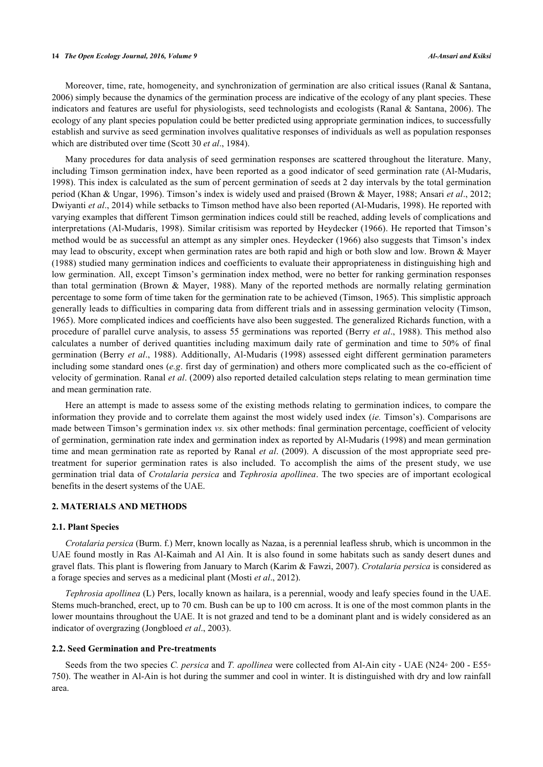#### **14** *The Open Ecology Journal, 2016, Volume 9 Al-Ansari and Ksiksi*

Moreover, time, rate, homogeneity, and synchronization of germination are also critical issues (Ranal & Santana, 2006) simply because the dynamics of the germination process are indicative of the ecology of any plant species. These indicators and features are useful for physiologists, seed technologists and ecologists (Ranal & Santana, 2006). The ecology of any plant species population could be better predicted using appropriate germination indices, to successfully establish and survive as seed germination involves qualitative responses of individuals as well as population responses which are distributed over time (Scott 30 *et al*., 1984).

Many procedures for data analysis of seed germination responses are scattered throughout the literature. Many, including Timson germination index, have been reported as a good indicator of seed germination rate (Al-Mudaris, 1998). This index is calculated as the sum of percent germination of seeds at 2 day intervals by the total germination period (Khan & Ungar, 1996). Timson's index is widely used and praised (Brown & Mayer, 1988; Ansari *et al*., 2012; Dwiyanti *et al*., 2014) while setbacks to Timson method have also been reported (Al-Mudaris, 1998). He reported with varying examples that different Timson germination indices could still be reached, adding levels of complications and interpretations (Al-Mudaris, 1998). Similar critisism was reported by Heydecker (1966). He reported that Timson's method would be as successful an attempt as any simpler ones. Heydecker (1966) also suggests that Timson's index may lead to obscurity, except when germination rates are both rapid and high or both slow and low. Brown & Mayer (1988) studied many germination indices and coefficients to evaluate their appropriateness in distinguishing high and low germination. All, except Timson's germination index method, were no better for ranking germination responses than total germination (Brown & Mayer, 1988). Many of the reported methods are normally relating germination percentage to some form of time taken for the germination rate to be achieved (Timson, 1965). This simplistic approach generally leads to difficulties in comparing data from different trials and in assessing germination velocity (Timson, 1965). More complicated indices and coefficients have also been suggested. The generalized Richards function, with a procedure of parallel curve analysis, to assess 55 germinations was reported (Berry *et al*., 1988). This method also calculates a number of derived quantities including maximum daily rate of germination and time to 50% of final germination (Berry *et al*., 1988). Additionally, Al-Mudaris (1998) assessed eight different germination parameters including some standard ones (*e.g*. first day of germination) and others more complicated such as the co-efficient of velocity of germination. Ranal *et al*. (2009) also reported detailed calculation steps relating to mean germination time and mean germination rate.

Here an attempt is made to assess some of the existing methods relating to germination indices, to compare the information they provide and to correlate them against the most widely used index (*ie.* Timson's). Comparisons are made between Timson's germination index *vs.* six other methods: final germination percentage, coefficient of velocity of germination, germination rate index and germination index as reported by Al-Mudaris (1998) and mean germination time and mean germination rate as reported by Ranal *et al*. (2009). A discussion of the most appropriate seed pretreatment for superior germination rates is also included. To accomplish the aims of the present study, we use germination trial data of *Crotalaria persica* and *Tephrosia apollinea*. The two species are of important ecological benefits in the desert systems of the UAE.

## **2. MATERIALS AND METHODS**

## **2.1. Plant Species**

*Crotalaria persica* (Burm. f.) Merr, known locally as Nazaa, is a perennial leafless shrub, which is uncommon in the UAE found mostly in Ras Al-Kaimah and Al Ain. It is also found in some habitats such as sandy desert dunes and gravel flats. This plant is flowering from January to March (Karim & Fawzi, 2007). *Crotalaria persica* is considered as a forage species and serves as a medicinal plant (Mosti *et al*., 2012).

*Tephrosia apollinea* (L) Pers, locally known as hailara, is a perennial, woody and leafy species found in the UAE. Stems much-branched, erect, up to 70 cm. Bush can be up to 100 cm across. It is one of the most common plants in the lower mountains throughout the UAE. It is not grazed and tend to be a dominant plant and is widely considered as an indicator of overgrazing (Jongbloed *et al*., 2003).

#### **2.2. Seed Germination and Pre-treatments**

Seeds from the two species *C. persica* and *T. apollinea* were collected from Al-Ain city - UAE (N24◦ 200 - E55◦ 750). The weather in Al-Ain is hot during the summer and cool in winter. It is distinguished with dry and low rainfall area.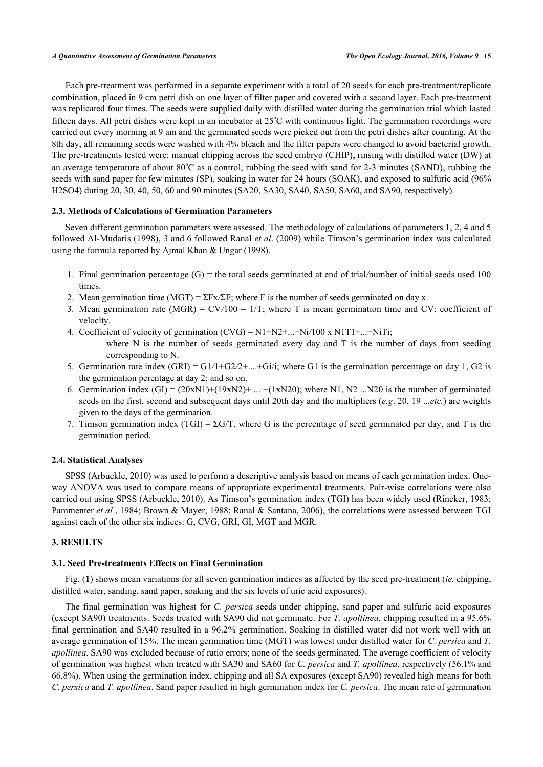Each pre-treatment was performed in a separate experiment with a total of 20 seeds for each pre-treatment/replicate combination, placed in 9 cm petri dish on one layer of filter paper and covered with a second layer. Each pre-treatment was replicated four times. The seeds were supplied daily with distilled water during the germination trial which lasted fifteen days. All petri dishes were kept in an incubator at  $25^{\circ}$ C with continuous light. The germination recordings were carried out every morning at 9 am and the germinated seeds were picked out from the petri dishes after counting. At the 8th day, all remaining seeds were washed with 4% bleach and the filter papers were changed to avoid bacterial growth. The pre-treatments tested were: manual chipping across the seed embryo (CHIP), rinsing with distilled water (DW) at an average temperature of about  $80^{\circ}$ C as a control, rubbing the seed with sand for 2-3 minutes (SAND), rubbing the seeds with sand paper for few minutes (SP), soaking in water for 24 hours (SOAK), and exposed to sulfuric acid (96% H2SO4) during 20, 30, 40, 50, 60 and 90 minutes (SA20, SA30, SA40, SA50, SA60, and SA90, respectively).

## **2.3. Methods of Calculations of Germination Parameters**

Seven different germination parameters were assessed. The methodology of calculations of parameters 1, 2, 4 and 5 followed Al-Mudaris (1998), 3 and 6 followed Ranal *et al*. (2009) while Timson's germination index was calculated using the formula reported by Ajmal Khan & Ungar (1998).

- 1. Final germination percentage (G) = the total seeds germinated at end of trial*/*number of initial seeds used 100 times.
- 2. Mean germination time (MGT) = ΣFx*/*ΣF; where F is the number of seeds germinated on day x.
- 3. Mean germination rate (MGR) =  $CV/100 = 1/T$ ; where T is mean germination time and CV: coefficient of velocity.
- 4. Coefficient of velocity of germination (CVG) = N1+N2+...+Ni*/*100 x N1T1+...+NiTi;
	- where N is the number of seeds germinated every day and T is the number of days from seeding corresponding to N.
- 5. Germination rate index (GRI) = G1*/*1+G2*/*2+....+Gi/i; where G1 is the germination percentage on day 1, G2 is the germination perentage at day 2; and so on.
- 6. Germination index  $(GI) = (20xN1)+(19xN2)+...+(1xN20)$ ; where N1, N2 ...N20 is the number of germinated seeds on the first, second and subsequent days until 20th day and the multipliers (*e.g*. 20, 19 ...*etc.*) are weights given to the days of the germination.
- 7. Timson germination index (TGI) =  $\Sigma$ G/T, where G is the percentage of seed germinated per day, and T is the germination period.

## **2.4. Statistical Analyses**

SPSS (Arbuckle, 2010) was used to perform a descriptive analysis based on means of each germination index. Oneway ANOVA was used to compare means of appropriate experimental treatments. Pair-wise correlations were also carried out using SPSS (Arbuckle, 2010). As Timson's germination index (TGI) has been widely used (Rincker, 1983; Pammenter *et al*., 1984; Brown & Mayer, 1988; Ranal & Santana, 2006), the correlations were assessed between TGI against each of the other six indices: G, CVG, GRI, GI, MGT and MGR.

## **3. RESULTS**

## **3.1. Seed Pre-treatments Effects on Final Germination**

Fig. (**[1](#page-3-0)**) shows mean variations for all seven germination indices as affected by the seed pre-treatment (*ie.* chipping, distilled water, sanding, sand paper, soaking and the six levels of uric acid exposures).

The final germination was highest for *C. persica* seeds under chipping, sand paper and sulfuric acid exposures (except SA90) treatments. Seeds treated with SA90 did not germinate. For *T. apollinea*, chipping resulted in a 95.6% final germination and SA40 resulted in a 96.2% germination. Soaking in distilled water did not work well with an average germination of 15%. The mean germination time (MGT) was lowest under distilled water for *C. persica* and *T. apollinea*. SA90 was excluded because of ratio errors; none of the seeds germinated. The average coefficient of velocity of germination was highest when treated with SA30 and SA60 for *C. persica* and *T. apollinea*, respectively (56.1% and 66.8%). When using the germination index, chipping and all SA exposures (except SA90) revealed high means for both *C. persica* and *T. apollinea*. Sand paper resulted in high germination index for *C. persica*. The mean rate of germination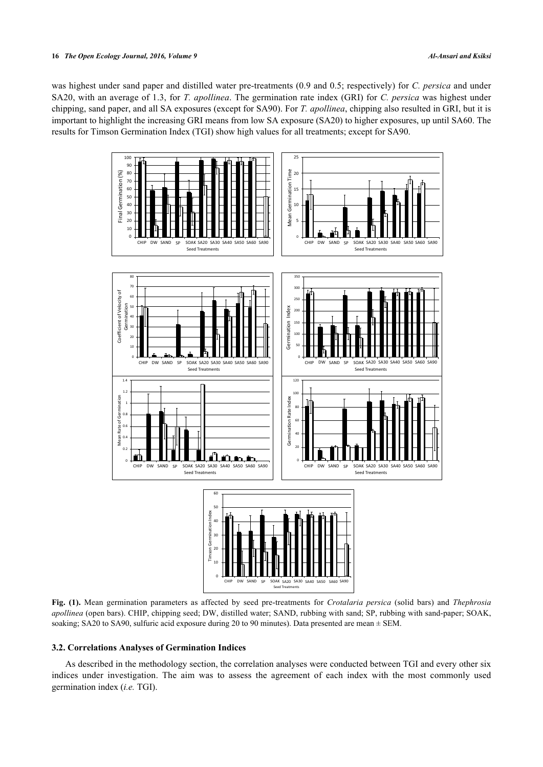<span id="page-3-0"></span>was highest under sand paper and distilled water pre-treatments (0.9 and 0.5; respectively) for *C. persica* and under SA20, with an average of 1.3, for *T. apollinea*. The germination rate index (GRI) for *C. persica* was highest under chipping, sand paper, and all SA exposures (except for SA90). For *T. apollinea*, chipping also resulted in GRI, but it is important to highlight the increasing GRI means from low SA exposure (SA20) to higher exposures, up until SA60. The results for Timson Germination Index (TGI) show high values for all treatments; except for SA90.



**Fig. (1).** Mean germination parameters as affected by seed pre-treatments for *Crotalaria persica* (solid bars) and *Thephrosia apollinea* (open bars). CHIP, chipping seed; DW, distilled water; SAND, rubbing with sand; SP, rubbing with sand-paper; SOAK, soaking; SA20 to SA90, sulfuric acid exposure during 20 to 90 minutes). Data presented are mean  $\pm$  SEM.

## **3.2. Correlations Analyses of Germination Indices**

As described in the methodology section, the correlation analyses were conducted between TGI and every other six indices under investigation. The aim was to assess the agreement of each index with the most commonly used germination index (*i.e.* TGI).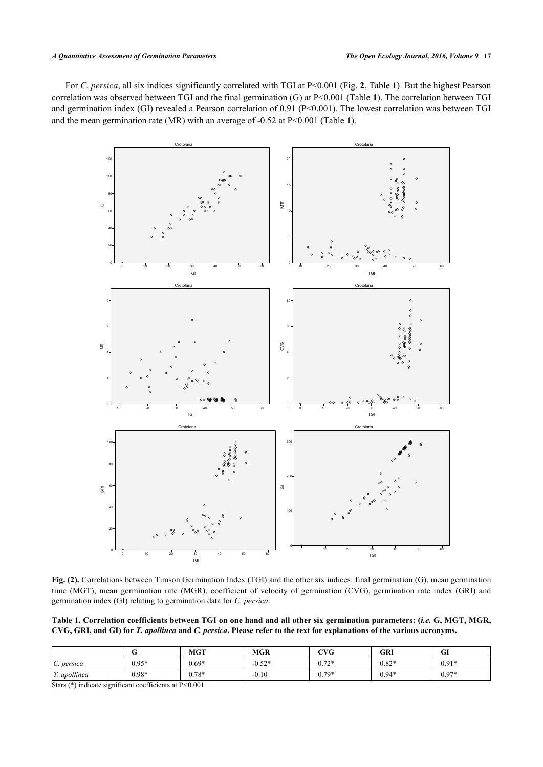#### *A Quantitative Assessment of Germination Parameters The Open Ecology Journal, 2016, Volume 9* **17**

<span id="page-4-0"></span>For *C. persica*, all six indices significantly correlated with TGI at P<0.001 (Fig. **[2](#page-4-0)**, Table **[1](#page-4-1)**). But the highest Pearson correlation was observed between TGI and the final germination (G) at P<0.001 (Table **[1](#page-4-1)**). The correlation between TGI and germination index (GI) revealed a Pearson correlation of 0.91 (P<0.001). The lowest correlation was between TGI and the mean germination rate (MR) with an average of -0.52 at P<0.001 (Table **[1](#page-4-1)**).



**Fig. (2).** Correlations between Timson Germination Index (TGI) and the other six indices: final germination (G), mean germination time (MGT), mean germination rate (MGR), coefficient of velocity of germination (CVG), germination rate index (GRI) and germination index (GI) relating to germination data for *C. persica*.

<span id="page-4-1"></span>**Table 1. Correlation coefficients between TGI on one hand and all other six germination parameters: (***i.e.* **G, MGT, MGR, CVG, GRI, and GI) for** *T. apollinea* **and** *C. persica***. Please refer to the text for explanations of the various acronyms.**

|              |         | <b>MGT</b> | <b>MGR</b> | <b>CVG</b> | <b>GRI</b> | $\sim$<br>u |
|--------------|---------|------------|------------|------------|------------|-------------|
| C. persica   | $0.95*$ | $0.69*$    | $-0.52*$   | $0.72*$    | $0.82*$    | $0.91*$     |
| T. apollinea | $0.98*$ | $0.78*$    | $-0.10$    | $0.79*$    | $0.94*$    | $0.97*$     |

Stars (\*) indicate significant coefficients at P*<*0.001.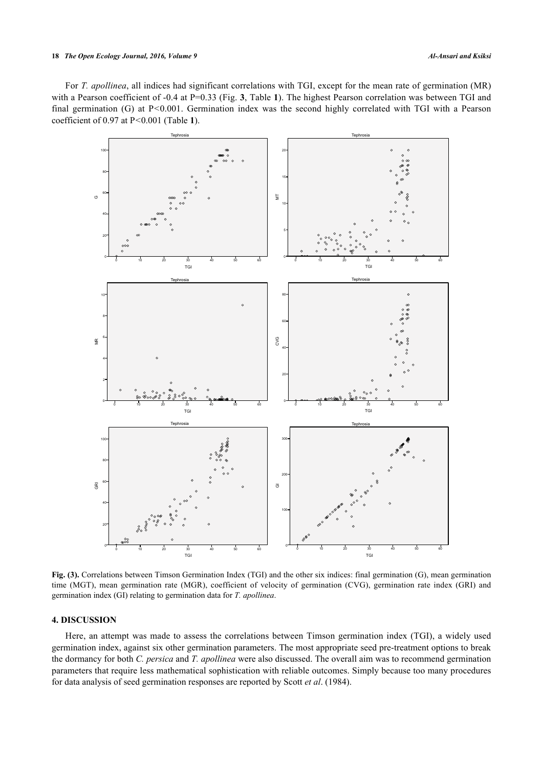#### **18** *The Open Ecology Journal, 2016, Volume 9 Al-Ansari and Ksiksi*

<span id="page-5-0"></span>For *T. apollinea*, all indices had significant correlations with TGI, except for the mean rate of germination (MR) with a Pearson coefficient of -0.4 at P=0.[3](#page-5-0)3 (Fig. 3, Table [1](#page-4-1)). The highest Pearson correlation was between TGI and final germination (G) at P*<*0.001. Germination index was the second highly correlated with TGI with a Pearson coefficient of 0.97 at P*<*0.001 (Table **[1](#page-4-1)**).



**Fig. (3).** Correlations between Timson Germination Index (TGI) and the other six indices: final germination (G), mean germination time (MGT), mean germination rate (MGR), coefficient of velocity of germination (CVG), germination rate index (GRI) and germination index (GI) relating to germination data for *T. apollinea*.

## **4. DISCUSSION**

Here, an attempt was made to assess the correlations between Timson germination index (TGI), a widely used germination index, against six other germination parameters. The most appropriate seed pre-treatment options to break the dormancy for both *C. persica* and *T. apollinea* were also discussed. The overall aim was to recommend germination parameters that require less mathematical sophistication with reliable outcomes. Simply because too many procedures for data analysis of seed germination responses are reported by Scott *et al*. (1984).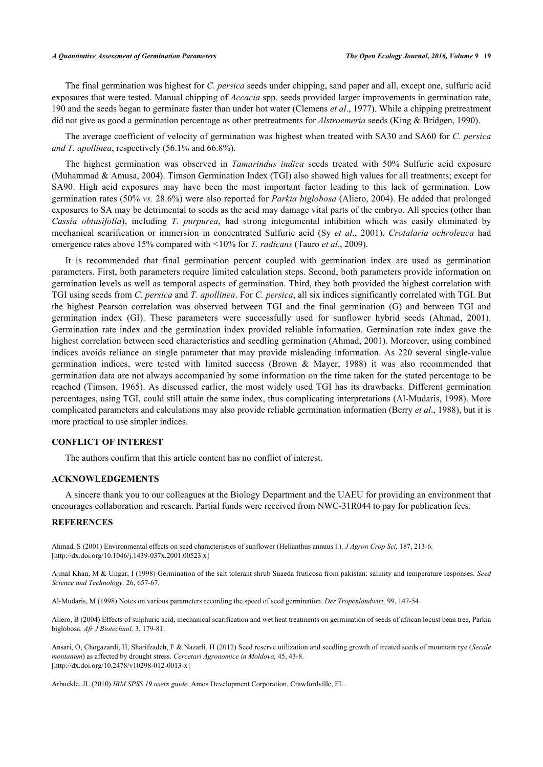#### *A Quantitative Assessment of Germination Parameters The Open Ecology Journal, 2016, Volume 9* **19**

The final germination was highest for *C. persica* seeds under chipping, sand paper and all, except one, sulfuric acid exposures that were tested. Manual chipping of *Accacia* spp. seeds provided larger improvements in germination rate, 190 and the seeds began to germinate faster than under hot water (Clemens *et al*., 1977). While a chipping pretreatment did not give as good a germination percentage as other pretreatments for *Alstroemeria* seeds (King & Bridgen, 1990).

The average coefficient of velocity of germination was highest when treated with SA30 and SA60 for *C. persica and T. apollinea*, respectively (56.1% and 66.8%).

The highest germination was observed in *Tamarindus indica* seeds treated with 50% Sulfuric acid exposure (Muhammad & Amusa, 2004). Timson Germination Index (TGI) also showed high values for all treatments; except for SA90. High acid exposures may have been the most important factor leading to this lack of germination. Low germination rates (50% *vs.* 28.6%) were also reported for *Parkia biglobosa* (Aliero, 2004). He added that prolonged exposures to SA may be detrimental to seeds as the acid may damage vital parts of the embryo. All species (other than *Cassia obtusifolia*), including *T. purpurea*, had strong integumental inhibition which was easily eliminated by mechanical scarification or immersion in concentrated Sulfuric acid (Sy *et al*., 2001). *Crotalaria ochroleuca* had emergence rates above 15% compared with *<*10% for *T. radicans* (Tauro *et al*., 2009).

It is recommended that final germination percent coupled with germination index are used as germination parameters. First, both parameters require limited calculation steps. Second, both parameters provide information on germination levels as well as temporal aspects of germination. Third, they both provided the highest correlation with TGI using seeds from *C. persica* and *T. apollinea*. For *C. persica*, all six indices significantly correlated with TGI. But the highest Pearson correlation was observed between TGI and the final germination (G) and between TGI and germination index (GI). These parameters were successfully used for sunflower hybrid seeds (Ahmad, 2001). Germination rate index and the germination index provided reliable information. Germination rate index gave the highest correlation between seed characteristics and seedling germination (Ahmad, 2001). Moreover, using combined indices avoids reliance on single parameter that may provide misleading information. As 220 several single-value germination indices, were tested with limited success (Brown & Mayer, 1988) it was also recommended that germination data are not always accompanied by some information on the time taken for the stated percentage to be reached (Timson, 1965). As discussed earlier, the most widely used TGI has its drawbacks. Different germination percentages, using TGI, could still attain the same index, thus complicating interpretations (Al-Mudaris, 1998). More complicated parameters and calculations may also provide reliable germination information (Berry *et al*., 1988), but it is more practical to use simpler indices.

## **CONFLICT OF INTEREST**

The authors confirm that this article content has no conflict of interest.

## **ACKNOWLEDGEMENTS**

A sincere thank you to our colleagues at the Biology Department and the UAEU for providing an environment that encourages collaboration and research. Partial funds were received from NWC-31R044 to pay for publication fees.

## **REFERENCES**

Ahmad, S (2001) Environmental effects on seed characteristics of sunflower (Helianthus annuus l.). *J Agron Crop Sci,* 187, 213-6. [\[http://dx.doi.org/10.1046/j.1439-037x.2001.00523.x\]](http://dx.doi.org/10.1046/j.1439-037x.2001.00523.x)

Ajmal Khan, M & Ungar, I (1998) Germination of the salt tolerant shrub Suaeda fruticosa from pakistan: salinity and temperature responses. *Seed Science and Technology,* 26, 657-67.

Al-Mudaris, M (1998) Notes on various parameters recording the speed of seed germination. *Der Tropenlandwirt,* 99, 147-54.

Aliero, B (2004) Effects of sulphuric acid, mechanical scarification and wet heat treatments on germination of seeds of african locust bean tree, Parkia biglobosa. *Afr J Biotechnol,* 3, 179-81.

Ansari, O, Chogazardi, H, Sharifzadeh, F & Nazarli, H (2012) Seed reserve utilization and seedling growth of treated seeds of mountain rye (*Secale montanum*) as affected by drought stress. *Cercetari Agronomice in Moldova,* 45, 43-8. [\[http://dx.doi.org/10.2478/v10298-012-0013-x\]](http://dx.doi.org/10.2478/v10298-012-0013-x)

Arbuckle, JL (2010) *IBM SPSS 19 users guide.* Amos Development Corporation, Crawfordville, FL.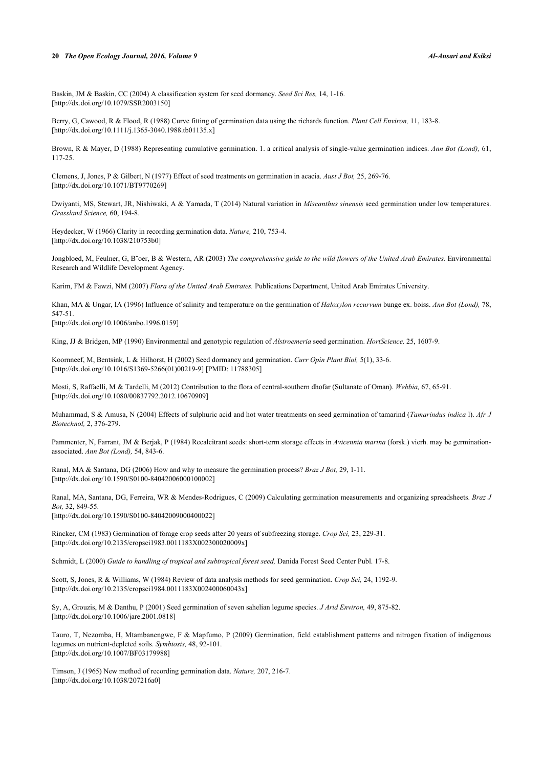#### **20** *The Open Ecology Journal, 2016, Volume 9 Al-Ansari and Ksiksi*

Baskin, JM & Baskin, CC (2004) A classification system for seed dormancy. *Seed Sci Res,* 14, 1-16. [\[http://dx.doi.org/10.1079/SSR2003150](http://dx.doi.org/10.1079/SSR2003150)]

Berry, G, Cawood, R & Flood, R (1988) Curve fitting of germination data using the richards function. *Plant Cell Environ,* 11, 183-8. [\[http://dx.doi.org/10.1111/j.1365-3040.1988.tb01135.x\]](http://dx.doi.org/10.1111/j.1365-3040.1988.tb01135.x)

Brown, R & Mayer, D (1988) Representing cumulative germination. 1. a critical analysis of single-value germination indices. *Ann Bot (Lond),* 61, 117-25.

Clemens, J, Jones, P & Gilbert, N (1977) Effect of seed treatments on germination in acacia. *Aust J Bot,* 25, 269-76. [\[http://dx.doi.org/10.1071/BT9770269](http://dx.doi.org/10.1071/BT9770269)]

Dwiyanti, MS, Stewart, JR, Nishiwaki, A & Yamada, T (2014) Natural variation in *Miscanthus sinensis* seed germination under low temperatures. *Grassland Science,* 60, 194-8.

Heydecker, W (1966) Clarity in recording germination data. *Nature,* 210, 753-4. [\[http://dx.doi.org/10.1038/210753b0\]](http://dx.doi.org/10.1038/210753b0)

Jongbloed, M, Feulner, G, B<sup>r</sup>oer, B & Western, AR (2003) *The comprehensive guide to the wild flowers of the United Arab Emirates*. Environmental Research and Wildlife Development Agency.

Karim, FM & Fawzi, NM (2007) *Flora of the United Arab Emirates.* Publications Department, United Arab Emirates University.

Khan, MA & Ungar, IA (1996) Influence of salinity and temperature on the germination of *Haloxylon recurvum* bunge ex. boiss. *Ann Bot (Lond),* 78, 547-51.

[\[http://dx.doi.org/10.1006/anbo.1996.0159](http://dx.doi.org/10.1006/anbo.1996.0159)]

King, JJ & Bridgen, MP (1990) Environmental and genotypic regulation of *Alstroemeria* seed germination. *HortScience,* 25, 1607-9.

Koornneef, M, Bentsink, L & Hilhorst, H (2002) Seed dormancy and germination. *Curr Opin Plant Biol,* 5(1), 33-6. [\[http://dx.doi.org/10.1016/S1369-5266\(01\)00219-9\]](http://dx.doi.org/10.1016/S1369-5266(01)00219-9) [PMID: [11788305](http://www.ncbi.nlm.nih.gov/pubmed/11788305)]

Mosti, S, Raffaelli, M & Tardelli, M (2012) Contribution to the flora of central-southern dhofar (Sultanate of Oman). *Webbia,* 67, 65-91. [\[http://dx.doi.org/10.1080/00837792.2012.10670909\]](http://dx.doi.org/10.1080/00837792.2012.10670909)

Muhammad, S & Amusa, N (2004) Effects of sulphuric acid and hot water treatments on seed germination of tamarind (*Tamarindus indica* l). *Afr J Biotechnol,* 2, 376-279.

Pammenter, N, Farrant, JM & Berjak, P (1984) Recalcitrant seeds: short-term storage effects in *Avicennia marina* (forsk.) vierh. may be germinationassociated. *Ann Bot (Lond),* 54, 843-6.

Ranal, MA & Santana, DG (2006) How and why to measure the germination process? *Braz J Bot,* 29, 1-11. [\[http://dx.doi.org/10.1590/S0100-84042006000100002\]](http://dx.doi.org/10.1590/S0100-84042006000100002)

Ranal, MA, Santana, DG, Ferreira, WR & Mendes-Rodrigues, C (2009) Calculating germination measurements and organizing spreadsheets. *Braz J Bot,* 32, 849-55.

[\[http://dx.doi.org/10.1590/S0100-84042009000400022\]](http://dx.doi.org/10.1590/S0100-84042009000400022)

Rincker, CM (1983) Germination of forage crop seeds after 20 years of subfreezing storage. *Crop Sci,* 23, 229-31. [\[http://dx.doi.org/10.2135/cropsci1983.0011183X002300020009x\]](http://dx.doi.org/10.2135/cropsci1983.0011183X002300020009x)

Schmidt, L (2000) *Guide to handling of tropical and subtropical forest seed*, Danida Forest Seed Center Publ. 17-8.

Scott, S, Jones, R & Williams, W (1984) Review of data analysis methods for seed germination. *Crop Sci,* 24, 1192-9. [\[http://dx.doi.org/10.2135/cropsci1984.0011183X002400060043x\]](http://dx.doi.org/10.2135/cropsci1984.0011183X002400060043x)

Sy, A, Grouzis, M & Danthu, P (2001) Seed germination of seven sahelian legume species. *J Arid Environ,* 49, 875-82. [\[http://dx.doi.org/10.1006/jare.2001.0818\]](http://dx.doi.org/10.1006/jare.2001.0818)

Tauro, T, Nezomba, H, Mtambanengwe, F & Mapfumo, P (2009) Germination, field establishment patterns and nitrogen fixation of indigenous legumes on nutrient-depleted soils. *Symbiosis,* 48, 92-101. [\[http://dx.doi.org/10.1007/BF03179988\]](http://dx.doi.org/10.1007/BF03179988)

Timson, J (1965) New method of recording germination data. *Nature,* 207, 216-7. [\[http://dx.doi.org/10.1038/207216a0](http://dx.doi.org/10.1038/207216a0)]